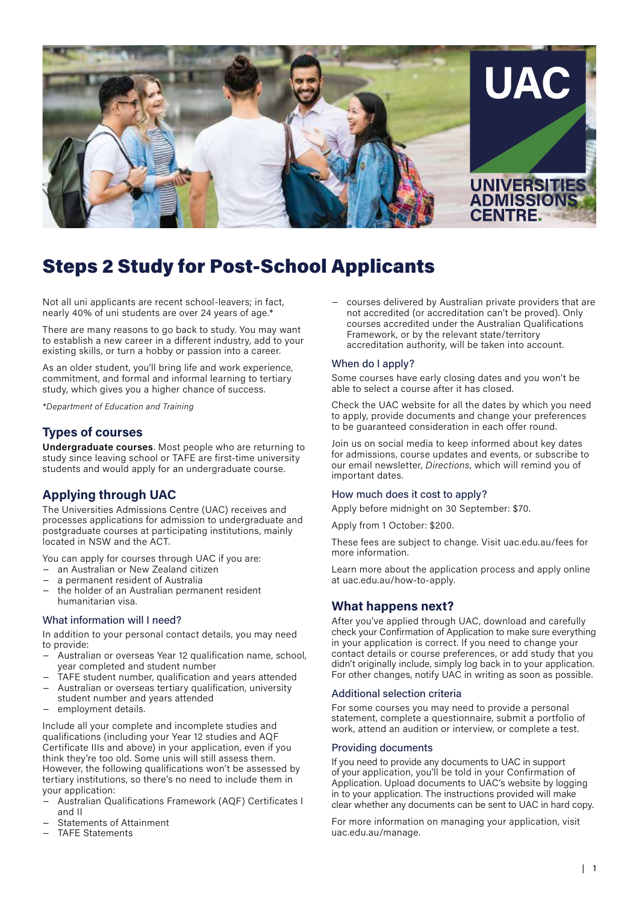

# Steps 2 Study for Post-School Applicants

Not all uni applicants are recent school-leavers; in fact, nearly 40% of uni students are over 24 years of age.\*

There are many reasons to go back to study. You may want to establish a new career in a different industry, add to your existing skills, or turn a hobby or passion into a career.

As an older student, you'll bring life and work experience, commitment, and formal and informal learning to tertiary study, which gives you a higher chance of success.

*\*Department of Education and Training*

# **Types of courses**

**Undergraduate courses**. Most people who are returning to study since leaving school or TAFE are first-time university students and would apply for an undergraduate course.

# **Applying through UAC**

The Universities Admissions Centre (UAC) receives and processes applications for admission to undergraduate and postgraduate courses at participating institutions, mainly located in NSW and the ACT.

You can apply for courses through UAC if you are:

- − an Australian or New Zealand citizen
- a permanent resident of Australia
- the holder of an Australian permanent resident humanitarian visa.

#### What information will I need?

In addition to your personal contact details, you may need to provide:

- − Australian or overseas Year 12 qualification name, school, year completed and student number
- TAFE student number, qualification and years attended
- − Australian or overseas tertiary qualification, university student number and years attended
- employment details.

Include all your complete and incomplete studies and qualifications (including your Year 12 studies and AQF Certificate IIIs and above) in your application, even if you think they're too old. Some unis will still assess them. However, the following qualifications won't be assessed by tertiary institutions, so there's no need to include them in your application:

- − Australian Qualifications Framework (AQF) Certificates I and II
- − Statements of Attainment
- − TAFE Statements

courses delivered by Australian private providers that are not accredited (or accreditation can't be proved). Only courses accredited under the Australian Qualifications Framework, or by the relevant state/territory accreditation authority, will be taken into account.

#### When do I apply?

Some courses have early closing dates and you won't be able to select a course after it has closed.

Check the UAC website for all the dates by which you need to apply, provide documents and change your preferences to be guaranteed consideration in each offer round.

Join us on social media to keep informed about key dates for admissions, course updates and events, or subscribe to our email newsletter, *Directions*, which will remind you of important dates.

#### How much does it cost to apply?

Apply before midnight on 30 September: \$70.

Apply from 1 October: \$200.

These fees are subject to change. Visit uac.edu.au/fees for more information.

Learn more about the application process and apply online at uac.edu.au/how-to-apply.

## **What happens next?**

After you've applied through UAC, download and carefully check your Confirmation of Application to make sure everything in your application is correct. If you need to change your contact details or course preferences, or add study that you didn't originally include, simply log back in to your application. For other changes, notify UAC in writing as soon as possible.

#### Additional selection criteria

For some courses you may need to provide a personal statement, complete a questionnaire, submit a portfolio of work, attend an audition or interview, or complete a test.

#### Providing documents

If you need to provide any documents to UAC in support of your application, you'll be told in your Confirmation of Application. Upload documents to UAC's website by logging in to your application. The instructions provided will make clear whether any documents can be sent to UAC in hard copy.

For more information on managing your application, visit uac.edu.au/manage.